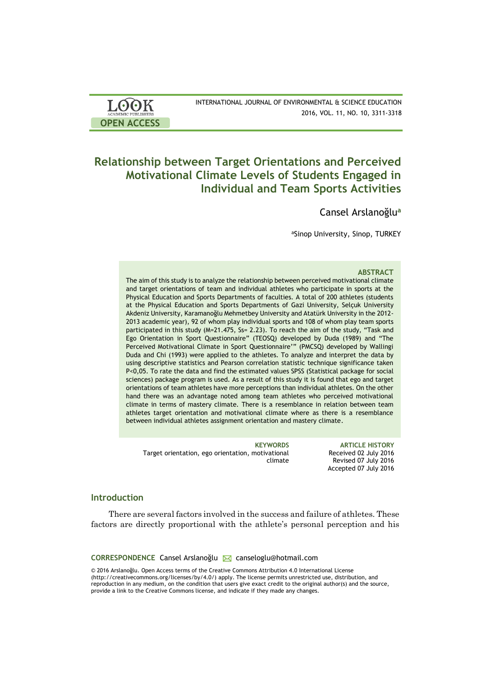| <b>LOOK</b>                | INTERNATIONAL JOURNAL OF ENVIRONMENTAL & SCIENCE EDUCATION |
|----------------------------|------------------------------------------------------------|
| <b>ACADEMIC PUBLISHERS</b> | 2016, VOL. 11, NO. 10, 3311-3318                           |
| <b>OPEN ACCESS</b>         |                                                            |

# **Relationship between Target Orientations and Perceived Motivational Climate Levels of Students Engaged in Individual and Team Sports Activities**

# Cansel Arslanoğlu**<sup>a</sup>**

aSinop University, Sinop, TURKEY

### **ABSTRACT**

The aim of this study is to analyze the relationship between perceived motivational climate and target orientations of team and individual athletes who participate in sports at the Physical Education and Sports Departments of faculties. A total of 200 athletes (students at the Physical Education and Sports Departments of Gazi University, Selçuk University Akdeniz University, Karamanoğlu Mehmetbey University and Atatürk University in the 2012- 2013 academic year), 92 of whom play individual sports and 108 of whom play team sports participated in this study (M=21.475, Ss= 2.23). To reach the aim of the study, "Task and Ego Orientation in Sport Questionnaire" (TEOSQ) developed by Duda (1989) and "The Perceived Motivational Climate in Sport Questionnaire'" (PMCSQ) developed by Wallingi Duda and Chi (1993) were applied to the athletes. To analyze and interpret the data by using descriptive statistics and Pearson correlation statistic technique significance taken P<0,05. To rate the data and find the estimated values SPSS (Statistical package for social sciences) package program is used. As a result of this study it is found that ego and target orientations of team athletes have more perceptions than individual athletes. On the other hand there was an advantage noted among team athletes who perceived motivational climate in terms of mastery climate. There is a resemblance in relation between team athletes target orientation and motivational climate where as there is a resemblance between individual athletes assignment orientation and mastery climate.

Target orientation, ego orientation, motivational climate

**KEYWORDS ARTICLE HISTORY** Received 02 July 2016 Revised 07 July 2016 Accepted 07 July 2016

# **Introduction**

There are several factors involved in the success and failure of athletes. These factors are directly proportional with the athlete's personal perception and his

CORRESPONDENCE Cansel Arslanoğlu M canseloglu@hotmail.com

© 2016 Arslanoğlu. Open Access terms of the Creative Commons Attribution 4.0 International License (http://creativecommons.org/licenses/by/4.0/) apply. The license permits unrestricted use, distribution, and reproduction in any medium, on the condition that users give exact credit to the original author(s) and the source, provide a link to the Creative Commons license, and indicate if they made any changes.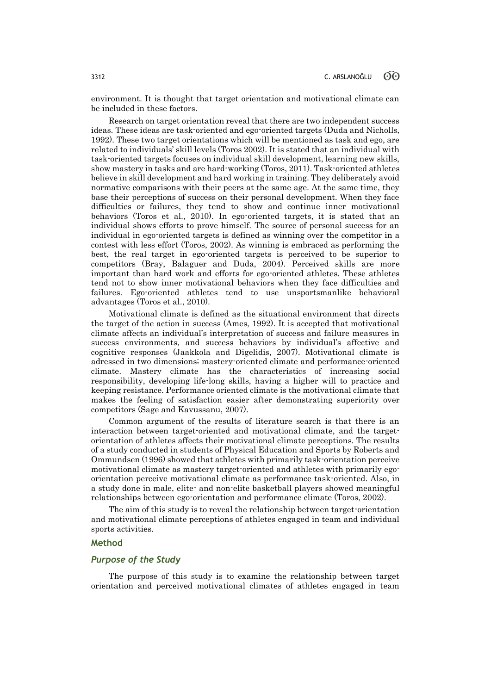environment. It is thought that target orientation and motivational climate can be included in these factors.

Research on target orientation reveal that there are two independent success ideas. These ideas are task-oriented and ego-oriented targets (Duda and Nicholls, 1992). These two target orientations which will be mentioned as task and ego, are related to individuals' skill levels (Toros 2002). It is stated that an individual with task-oriented targets focuses on individual skill development, learning new skills, show mastery in tasks and are hard-working (Toros, 2011). Task-oriented athletes believe in skill development and hard working in training. They deliberately avoid normative comparisons with their peers at the same age. At the same time, they base their perceptions of success on their personal development. When they face difficulties or failures, they tend to show and continue inner motivational behaviors (Toros et al., 2010). In ego-oriented targets, it is stated that an individual shows efforts to prove himself. The source of personal success for an individual in ego-oriented targets is defined as winning over the competitor in a contest with less effort (Toros, 2002). As winning is embraced as performing the best, the real target in ego-oriented targets is perceived to be superior to competitors (Bray, Balaguer and Duda, 2004). Perceived skills are more important than hard work and efforts for ego-oriented athletes. These athletes tend not to show inner motivational behaviors when they face difficulties and failures. Ego-oriented athletes tend to use unsportsmanlike behavioral advantages (Toros et al., 2010).

Motivational climate is defined as the situational environment that directs the target of the action in success (Ames, 1992). It is accepted that motivational climate affects an individual's interpretation of success and failure measures in success environments, and success behaviors by individual's affective and cognitive responses (Jaakkola and Digelidis, 2007). Motivational climate is adressed in two dimensions; mastery-oriented climate and performance-oriented climate. Mastery climate has the characteristics of increasing social responsibility, developing life-long skills, having a higher will to practice and keeping resistance. Performance oriented climate is the motivational climate that makes the feeling of satisfaction easier after demonstrating superiority over competitors (Sage and Kavussanu, 2007).

Common argument of the results of literature search is that there is an interaction between target-oriented and motivational climate, and the targetorientation of athletes affects their motivational climate perceptions. The results of a study conducted in students of Physical Education and Sports by Roberts and Ommundsen (1996) showed that athletes with primarily task-orientation perceive motivational climate as mastery target-oriented and athletes with primarily egoorientation perceive motivational climate as performance task-oriented. Also, in a study done in male, elite- and non-elite basketball players showed meaningful relationships between ego-orientation and performance climate (Toros, 2002).

The aim of this study is to reveal the relationship between target-orientation and motivational climate perceptions of athletes engaged in team and individual sports activities.

# **Method**

# *Purpose of the Study*

The purpose of this study is to examine the relationship between target orientation and perceived motivational climates of athletes engaged in team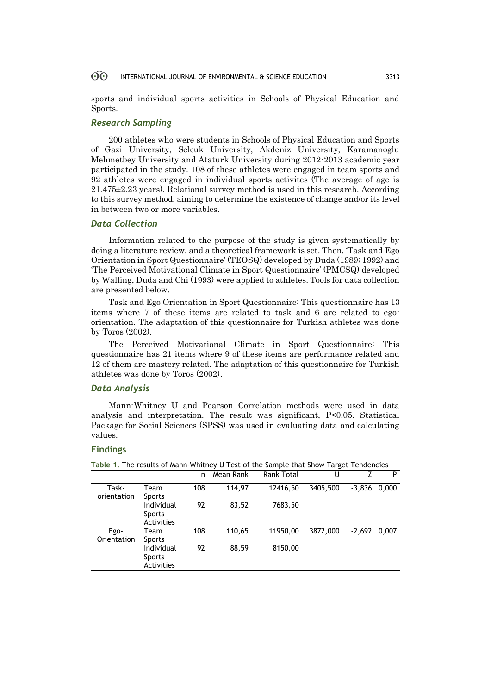#### 60 INTERNATIONAL JOURNAL OF ENVIRONMENTAL & SCIENCE EDUCATION 3313

sports and individual sports activities in Schools of Physical Education and Sports.

# *Research Sampling*

200 athletes who were students in Schools of Physical Education and Sports of Gazi University, Selcuk University, Akdeniz University, Karamanoglu Mehmetbey University and Ataturk University during 2012-2013 academic year participated in the study. 108 of these athletes were engaged in team sports and 92 athletes were engaged in individual sports activites (The average of age is 21.475±2.23 years). Relational survey method is used in this research. According to this survey method, aiming to determine the existence of change and/or its level in between two or more variables.

### *Data Collection*

Information related to the purpose of the study is given systematically by doing a literature review, and a theoretical framework is set. Then, 'Task and Ego Orientation in Sport Questionnaire' (TEOSQ) developed by Duda (1989; 1992) and 'The Perceived Motivational Climate in Sport Questionnaire' (PMCSQ) developed by Walling, Duda and Chi (1993) were applied to athletes. Tools for data collection are presented below.

Task and Ego Orientation in Sport Questionnaire: This questionnaire has 13 items where 7 of these items are related to task and 6 are related to egoorientation. The adaptation of this questionnaire for Turkish athletes was done by Toros (2002).

The Perceived Motivational Climate in Sport Questionnaire: This questionnaire has 21 items where 9 of these items are performance related and 12 of them are mastery related. The adaptation of this questionnaire for Turkish athletes was done by Toros (2002).

# *Data Analysis*

Mann-Whitney U and Pearson Correlation methods were used in data analysis and interpretation. The result was significant,  $P<0.05$ . Statistical Package for Social Sciences (SPSS) was used in evaluating data and calculating values.

# **Findings**

**Table 1.** The results of Mann-Whitney U Test of the Sample that Show Target Tendencies

|                      |                                                  | n   | Mean Rank | <b>Rank Total</b> | U        |          | P     |
|----------------------|--------------------------------------------------|-----|-----------|-------------------|----------|----------|-------|
| Task-<br>orientation | Team<br><b>Sports</b>                            | 108 | 114,97    | 12416,50          | 3405,500 | $-3.836$ | 0.000 |
|                      | Individual<br><b>Sports</b><br><b>Activities</b> | 92  | 83,52     | 7683,50           |          |          |       |
| Ego-<br>Orientation  | Team<br><b>Sports</b>                            | 108 | 110,65    | 11950,00          | 3872,000 | $-2.692$ | 0.007 |
|                      | Individual<br><b>Sports</b><br><b>Activities</b> | 92  | 88,59     | 8150,00           |          |          |       |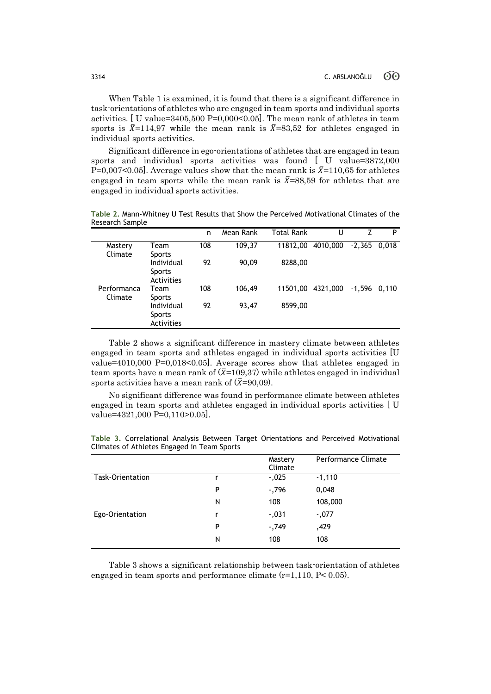When Table 1 is examined, it is found that there is a significant difference in task-orientations of athletes who are engaged in team sports and individual sports activities. [ U value=3405,500 P=0,000<0.05]. The mean rank of athletes in team sports is  $\bar{X}$ =114,97 while the mean rank is  $\bar{X}$ =83,52 for athletes engaged in individual sports activities.

Significant difference in ego-orientations of athletes that are engaged in team sports and individual sports activities was found [ U value=3872,000 P=0,007<0.05]. Average values show that the mean rank is  $\bar{X}$ =110,65 for athletes engaged in team sports while the mean rank is  $\bar{X}=88,59$  for athletes that are engaged in individual sports activities.

|                        |                                           | n   | Mean Rank | <b>Total Rank</b> | U        |          | P     |
|------------------------|-------------------------------------------|-----|-----------|-------------------|----------|----------|-------|
| Mastery<br>Climate     | Team<br><b>Sports</b>                     | 108 | 109,37    | 11812,00          | 4010,000 | $-2.365$ | 0.018 |
|                        | Individual<br><b>Sports</b><br>Activities | 92  | 90,09     | 8288,00           |          |          |       |
| Performanca<br>Climate | Team<br><b>Sports</b>                     | 108 | 106,49    | 11501.00          | 4321,000 | -1,596   | 0,110 |
|                        | Individual<br><b>Sports</b><br>Activities | 92  | 93,47     | 8599,00           |          |          |       |

**Table 2.** Mann-Whitney U Test Results that Show the Perceived Motivational Climates of the Research Sample

Table 2 shows a significant difference in mastery climate between athletes engaged in team sports and athletes engaged in individual sports activities [U value= $4010,000$  P= $0,018<0.05$ . Average scores show that athletes engaged in team sports have a mean rank of  $(\bar{X}=109,37)$  while athletes engaged in individual sports activities have a mean rank of  $(\bar{X}=90,09)$ .

No significant difference was found in performance climate between athletes engaged in team sports and athletes engaged in individual sports activities [ U value=4321,000 P=0,110>0.05].

|                         |   | Mastery<br>Climate | Performance Climate |
|-------------------------|---|--------------------|---------------------|
| <b>Task-Orientation</b> | r | $-0.025$           | $-1,110$            |
|                         | P | $-.796$            | 0,048               |
|                         | N | 108                | 108,000             |
| Ego-Orientation         | r | $-.031$            | $-0.077$            |
|                         | P | $-.749$            | ,429                |
|                         | N | 108                | 108                 |

**Table 3.** Correlational Analysis Between Target Orientations and Perceived Motivational Climates of Athletes Engaged in Team Sports

Table 3 shows a significant relationship between task-orientation of athletes engaged in team sports and performance climate  $(r=1,110, P<0.05)$ .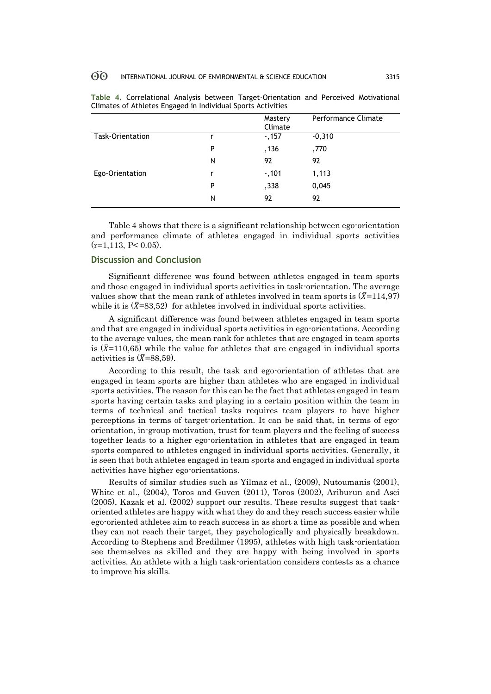#### 60 INTERNATIONAL JOURNAL OF ENVIRONMENTAL & SCIENCE EDUCATION 3315

|                  |   | Mastery<br>Climate | Performance Climate |
|------------------|---|--------------------|---------------------|
| Task-Orientation | r | $-1,157$           | $-0,310$            |
|                  | P | ,136               | ,770                |
|                  | N | 92                 | 92                  |
| Ego-Orientation  | r | $-1,101$           | 1,113               |
|                  | P | ,338               | 0,045               |
|                  | N | 92                 | 92                  |

**Table 4.** Correlational Analysis between Target-Orientation and Perceived Motivational Climates of Athletes Engaged in Individual Sports Activities

Table 4 shows that there is a significant relationship between ego-orientation and performance climate of athletes engaged in individual sports activities  $(r=1,113, P<0.05)$ .

# **Discussion and Conclusion**

Significant difference was found between athletes engaged in team sports and those engaged in individual sports activities in task-orientation. The average values show that the mean rank of athletes involved in team sports is  $(\bar{X}=114.97)$ while it is  $(\bar{X}=83,52)$  for athletes involved in individual sports activities.

A significant difference was found between athletes engaged in team sports and that are engaged in individual sports activities in ego-orientations. According to the average values, the mean rank for athletes that are engaged in team sports is  $(\bar{X}=110,65)$  while the value for athletes that are engaged in individual sports activities is  $({\bar X}=88.59)$ .

According to this result, the task and ego-orientation of athletes that are engaged in team sports are higher than athletes who are engaged in individual sports activities. The reason for this can be the fact that athletes engaged in team sports having certain tasks and playing in a certain position within the team in terms of technical and tactical tasks requires team players to have higher perceptions in terms of target-orientation. It can be said that, in terms of egoorientation, in-group motivation, trust for team players and the feeling of success together leads to a higher ego-orientation in athletes that are engaged in team sports compared to athletes engaged in individual sports activities. Generally, it is seen that both athletes engaged in team sports and engaged in individual sports activities have higher ego-orientations.

Results of similar studies such as Yilmaz et al., (2009), Nutoumanis (2001), White et al., (2004), Toros and Guven (2011), Toros (2002), Ariburun and Asci (2005), Kazak et al. (2002) support our results. These results suggest that taskoriented athletes are happy with what they do and they reach success easier while ego-oriented athletes aim to reach success in as short a time as possible and when they can not reach their target, they psychologically and physically breakdown. According to Stephens and Bredilmer (1995), athletes with high task-orientation see themselves as skilled and they are happy with being involved in sports activities. An athlete with a high task-orientation considers contests as a chance to improve his skills.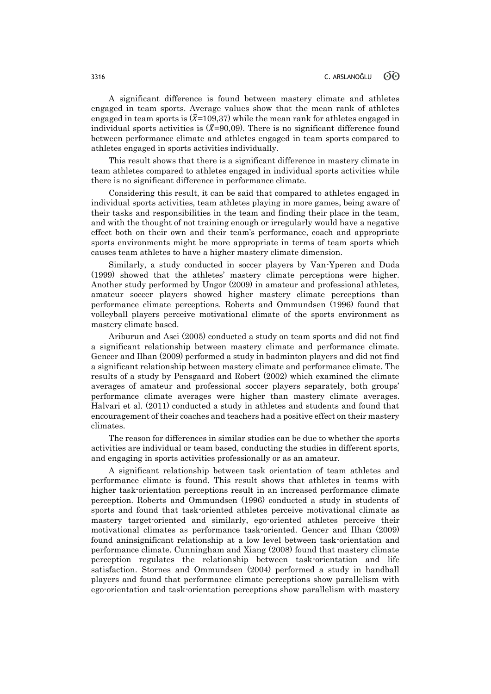A significant difference is found between mastery climate and athletes engaged in team sports. Average values show that the mean rank of athletes engaged in team sports is  $(\bar{X}=109.37)$  while the mean rank for athletes engaged in individual sports activities is  $(\bar{X}=90,09)$ . There is no significant difference found between performance climate and athletes engaged in team sports compared to athletes engaged in sports activities individually.

This result shows that there is a significant difference in mastery climate in team athletes compared to athletes engaged in individual sports activities while there is no significant difference in performance climate.

Considering this result, it can be said that compared to athletes engaged in individual sports activities, team athletes playing in more games, being aware of their tasks and responsibilities in the team and finding their place in the team, and with the thought of not training enough or irregularly would have a negative effect both on their own and their team's performance, coach and appropriate sports environments might be more appropriate in terms of team sports which causes team athletes to have a higher mastery climate dimension.

Similarly, a study conducted in soccer players by Van-Yperen and Duda (1999) showed that the athletes' mastery climate perceptions were higher. Another study performed by Ungor (2009) in amateur and professional athletes, amateur soccer players showed higher mastery climate perceptions than performance climate perceptions. Roberts and Ommundsen (1996) found that volleyball players perceive motivational climate of the sports environment as mastery climate based.

Ariburun and Asci (2005) conducted a study on team sports and did not find a significant relationship between mastery climate and performance climate. Gencer and Ilhan (2009) performed a study in badminton players and did not find a significant relationship between mastery climate and performance climate. The results of a study by Pensgaard and Robert (2002) which examined the climate averages of amateur and professional soccer players separately, both groups' performance climate averages were higher than mastery climate averages. Halvari et al. (2011) conducted a study in athletes and students and found that encouragement of their coaches and teachers had a positive effect on their mastery climates.

The reason for differences in similar studies can be due to whether the sports activities are individual or team based, conducting the studies in different sports, and engaging in sports activities professionally or as an amateur.

A significant relationship between task orientation of team athletes and performance climate is found. This result shows that athletes in teams with higher task-orientation perceptions result in an increased performance climate perception. Roberts and Ommundsen (1996) conducted a study in students of sports and found that task-oriented athletes perceive motivational climate as mastery target-oriented and similarly, ego-oriented athletes perceive their motivational climates as performance task-oriented. Gencer and Ilhan (2009) found aninsignificant relationship at a low level between task-orientation and performance climate. Cunningham and Xiang (2008) found that mastery climate perception regulates the relationship between task-orientation and life satisfaction. Stornes and Ommundsen (2004) performed a study in handball players and found that performance climate perceptions show parallelism with ego-orientation and task-orientation perceptions show parallelism with mastery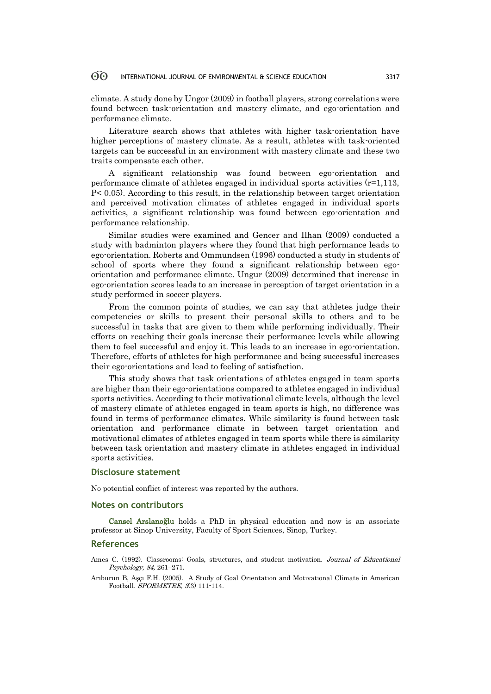#### 60 INTERNATIONAL JOURNAL OF ENVIRONMENTAL & SCIENCE EDUCATION 3317

climate. A study done by Ungor (2009) in football players, strong correlations were found between task-orientation and mastery climate, and ego-orientation and performance climate.

Literature search shows that athletes with higher task-orientation have higher perceptions of mastery climate. As a result, athletes with task-oriented targets can be successful in an environment with mastery climate and these two traits compensate each other.

A significant relationship was found between ego-orientation and performance climate of athletes engaged in individual sports activities  $(r=1,113,$ P< 0.05). According to this result, in the relationship between target orientation and perceived motivation climates of athletes engaged in individual sports activities, a significant relationship was found between ego-orientation and performance relationship.

Similar studies were examined and Gencer and Ilhan (2009) conducted a study with badminton players where they found that high performance leads to ego-orientation. Roberts and Ommundsen (1996) conducted a study in students of school of sports where they found a significant relationship between egoorientation and performance climate. Ungur (2009) determined that increase in ego-orientation scores leads to an increase in perception of target orientation in a study performed in soccer players.

From the common points of studies, we can say that athletes judge their competencies or skills to present their personal skills to others and to be successful in tasks that are given to them while performing individually. Their efforts on reaching their goals increase their performance levels while allowing them to feel successful and enjoy it. This leads to an increase in ego-orientation. Therefore, efforts of athletes for high performance and being successful increases their ego-orientations and lead to feeling of satisfaction.

This study shows that task orientations of athletes engaged in team sports are higher than their ego-orientations compared to athletes engaged in individual sports activities. According to their motivational climate levels, although the level of mastery climate of athletes engaged in team sports is high, no difference was found in terms of performance climates. While similarity is found between task orientation and performance climate in between target orientation and motivational climates of athletes engaged in team sports while there is similarity between task orientation and mastery climate in athletes engaged in individual sports activities.

# **Disclosure statement**

No potential conflict of interest was reported by the authors.

### **Notes on contributors**

Cansel Arslanoğlu holds a PhD in physical education and now is an associate professor at Sinop University, Faculty of Sport Sciences, Sinop, Turkey.

# **References**

Ames C. (1992). Classrooms: Goals, structures, and student motivation. Journal of Educational Psychology, 84, 261–271.

Arıburun B, Aşçı F.H. (2005). A Study of Goal Orıentatıon and Motıvatıonal Climate in American Football. SPORMETRE, 3(3) 111-114.